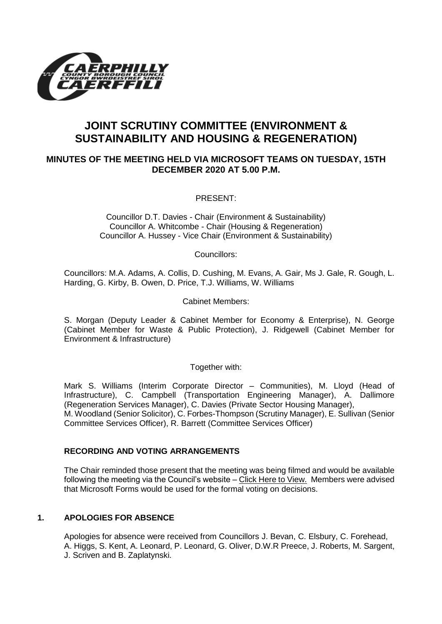

# **JOINT SCRUTINY COMMITTEE (ENVIRONMENT & SUSTAINABILITY AND HOUSING & REGENERATION)**

# **MINUTES OF THE MEETING HELD VIA MICROSOFT TEAMS ON TUESDAY, 15TH DECEMBER 2020 AT 5.00 P.M.**

PRESENT:

Councillor D.T. Davies - Chair (Environment & Sustainability) Councillor A. Whitcombe - Chair (Housing & Regeneration) Councillor A. Hussey - Vice Chair (Environment & Sustainability)

Councillors:

Councillors: M.A. Adams, A. Collis, D. Cushing, M. Evans, A. Gair, Ms J. Gale, R. Gough, L. Harding, G. Kirby, B. Owen, D. Price, T.J. Williams, W. Williams

Cabinet Members:

S. Morgan (Deputy Leader & Cabinet Member for Economy & Enterprise), N. George (Cabinet Member for Waste & Public Protection), J. Ridgewell (Cabinet Member for Environment & Infrastructure)

Together with:

Mark S. Williams (Interim Corporate Director – Communities), M. Lloyd (Head of Infrastructure), C. Campbell (Transportation Engineering Manager), A. Dallimore (Regeneration Services Manager), C. Davies (Private Sector Housing Manager), M. Woodland (Senior Solicitor), C. Forbes-Thompson (Scrutiny Manager), E. Sullivan (Senior Committee Services Officer), R. Barrett (Committee Services Officer)

## **RECORDING AND VOTING ARRANGEMENTS**

The Chair reminded those present that the meeting was being filmed and would be available following the meeting via the Council's website – [Click Here to View.](https://www.youtube.com/watch?v=0WR5FBlOag4&feature=youtu.be) Members were advised that Microsoft Forms would be used for the formal voting on decisions.

## **1. APOLOGIES FOR ABSENCE**

Apologies for absence were received from Councillors J. Bevan, C. Elsbury, C. Forehead, A. Higgs, S. Kent, A. Leonard, P. Leonard, G. Oliver, D.W.R Preece, J. Roberts, M. Sargent, J. Scriven and B. Zaplatynski.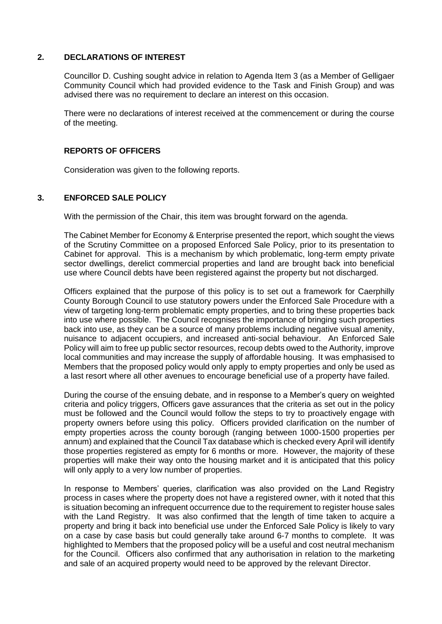#### **2. DECLARATIONS OF INTEREST**

Councillor D. Cushing sought advice in relation to Agenda Item 3 (as a Member of Gelligaer Community Council which had provided evidence to the Task and Finish Group) and was advised there was no requirement to declare an interest on this occasion.

There were no declarations of interest received at the commencement or during the course of the meeting.

#### **REPORTS OF OFFICERS**

Consideration was given to the following reports.

## **3. ENFORCED SALE POLICY**

With the permission of the Chair, this item was brought forward on the agenda.

The Cabinet Member for Economy & Enterprise presented the report, which sought the views of the Scrutiny Committee on a proposed Enforced Sale Policy, prior to its presentation to Cabinet for approval. This is a mechanism by which problematic, long-term empty private sector dwellings, derelict commercial properties and land are brought back into beneficial use where Council debts have been registered against the property but not discharged.

Officers explained that the purpose of this policy is to set out a framework for Caerphilly County Borough Council to use statutory powers under the Enforced Sale Procedure with a view of targeting long-term problematic empty properties, and to bring these properties back into use where possible. The Council recognises the importance of bringing such properties back into use, as they can be a source of many problems including negative visual amenity, nuisance to adjacent occupiers, and increased anti-social behaviour. An Enforced Sale Policy will aim to free up public sector resources, recoup debts owed to the Authority, improve local communities and may increase the supply of affordable housing. It was emphasised to Members that the proposed policy would only apply to empty properties and only be used as a last resort where all other avenues to encourage beneficial use of a property have failed.

During the course of the ensuing debate, and in response to a Member's query on weighted criteria and policy triggers, Officers gave assurances that the criteria as set out in the policy must be followed and the Council would follow the steps to try to proactively engage with property owners before using this policy. Officers provided clarification on the number of empty properties across the county borough (ranging between 1000-1500 properties per annum) and explained that the Council Tax database which is checked every April will identify those properties registered as empty for 6 months or more. However, the majority of these properties will make their way onto the housing market and it is anticipated that this policy will only apply to a very low number of properties.

In response to Members' queries, clarification was also provided on the Land Registry process in cases where the property does not have a registered owner, with it noted that this is situation becoming an infrequent occurrence due to the requirement to register house sales with the Land Registry. It was also confirmed that the length of time taken to acquire a property and bring it back into beneficial use under the Enforced Sale Policy is likely to vary on a case by case basis but could generally take around 6-7 months to complete. It was highlighted to Members that the proposed policy will be a useful and cost neutral mechanism for the Council. Officers also confirmed that any authorisation in relation to the marketing and sale of an acquired property would need to be approved by the relevant Director.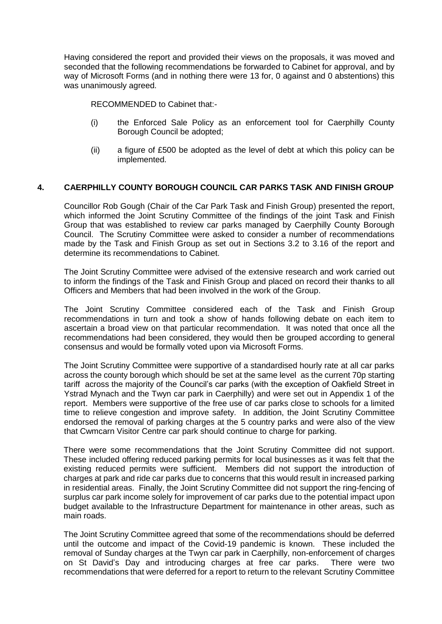Having considered the report and provided their views on the proposals, it was moved and seconded that the following recommendations be forwarded to Cabinet for approval, and by way of Microsoft Forms (and in nothing there were 13 for, 0 against and 0 abstentions) this was unanimously agreed.

RECOMMENDED to Cabinet that:-

- (i) the Enforced Sale Policy as an enforcement tool for Caerphilly County Borough Council be adopted;
- (ii) a figure of £500 be adopted as the level of debt at which this policy can be implemented.

# **4. CAERPHILLY COUNTY BOROUGH COUNCIL CAR PARKS TASK AND FINISH GROUP**

Councillor Rob Gough (Chair of the Car Park Task and Finish Group) presented the report, which informed the Joint Scrutiny Committee of the findings of the joint Task and Finish Group that was established to review car parks managed by Caerphilly County Borough Council. The Scrutiny Committee were asked to consider a number of recommendations made by the Task and Finish Group as set out in Sections 3.2 to 3.16 of the report and determine its recommendations to Cabinet.

The Joint Scrutiny Committee were advised of the extensive research and work carried out to inform the findings of the Task and Finish Group and placed on record their thanks to all Officers and Members that had been involved in the work of the Group.

The Joint Scrutiny Committee considered each of the Task and Finish Group recommendations in turn and took a show of hands following debate on each item to ascertain a broad view on that particular recommendation. It was noted that once all the recommendations had been considered, they would then be grouped according to general consensus and would be formally voted upon via Microsoft Forms.

The Joint Scrutiny Committee were supportive of a standardised hourly rate at all car parks across the county borough which should be set at the same level as the current 70p starting tariff across the majority of the Council's car parks (with the exception of Oakfield Street in Ystrad Mynach and the Twyn car park in Caerphilly) and were set out in Appendix 1 of the report. Members were supportive of the free use of car parks close to schools for a limited time to relieve congestion and improve safety. In addition, the Joint Scrutiny Committee endorsed the removal of parking charges at the 5 country parks and were also of the view that Cwmcarn Visitor Centre car park should continue to charge for parking.

There were some recommendations that the Joint Scrutiny Committee did not support. These included offering reduced parking permits for local businesses as it was felt that the existing reduced permits were sufficient. Members did not support the introduction of charges at park and ride car parks due to concerns that this would result in increased parking in residential areas. Finally, the Joint Scrutiny Committee did not support the ring-fencing of surplus car park income solely for improvement of car parks due to the potential impact upon budget available to the Infrastructure Department for maintenance in other areas, such as main roads.

The Joint Scrutiny Committee agreed that some of the recommendations should be deferred until the outcome and impact of the Covid-19 pandemic is known. These included the removal of Sunday charges at the Twyn car park in Caerphilly, non-enforcement of charges on St David's Day and introducing charges at free car parks. There were two recommendations that were deferred for a report to return to the relevant Scrutiny Committee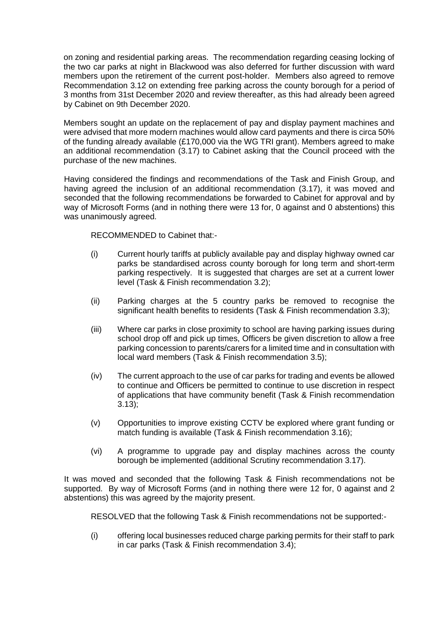on zoning and residential parking areas. The recommendation regarding ceasing locking of the two car parks at night in Blackwood was also deferred for further discussion with ward members upon the retirement of the current post-holder. Members also agreed to remove Recommendation 3.12 on extending free parking across the county borough for a period of 3 months from 31st December 2020 and review thereafter, as this had already been agreed by Cabinet on 9th December 2020.

Members sought an update on the replacement of pay and display payment machines and were advised that more modern machines would allow card payments and there is circa 50% of the funding already available (£170,000 via the WG TRI grant). Members agreed to make an additional recommendation (3.17) to Cabinet asking that the Council proceed with the purchase of the new machines.

Having considered the findings and recommendations of the Task and Finish Group, and having agreed the inclusion of an additional recommendation (3.17), it was moved and seconded that the following recommendations be forwarded to Cabinet for approval and by way of Microsoft Forms (and in nothing there were 13 for, 0 against and 0 abstentions) this was unanimously agreed.

RECOMMENDED to Cabinet that:-

- (i) Current hourly tariffs at publicly available pay and display highway owned car parks be standardised across county borough for long term and short-term parking respectively. It is suggested that charges are set at a current lower level (Task & Finish recommendation 3.2);
- (ii) Parking charges at the 5 country parks be removed to recognise the significant health benefits to residents (Task & Finish recommendation 3.3);
- (iii) Where car parks in close proximity to school are having parking issues during school drop off and pick up times, Officers be given discretion to allow a free parking concession to parents/carers for a limited time and in consultation with local ward members (Task & Finish recommendation 3.5);
- (iv) The current approach to the use of car parks for trading and events be allowed to continue and Officers be permitted to continue to use discretion in respect of applications that have community benefit (Task & Finish recommendation 3.13);
- (v) Opportunities to improve existing CCTV be explored where grant funding or match funding is available (Task & Finish recommendation 3.16);
- (vi) A programme to upgrade pay and display machines across the county borough be implemented (additional Scrutiny recommendation 3.17).

It was moved and seconded that the following Task & Finish recommendations not be supported. By way of Microsoft Forms (and in nothing there were 12 for, 0 against and 2 abstentions) this was agreed by the majority present.

RESOLVED that the following Task & Finish recommendations not be supported:-

(i) offering local businesses reduced charge parking permits for their staff to park in car parks (Task & Finish recommendation 3.4);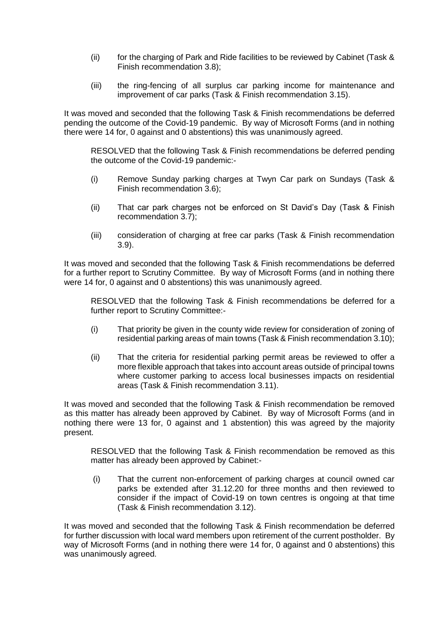- (ii) for the charging of Park and Ride facilities to be reviewed by Cabinet (Task & Finish recommendation 3.8);
- (iii) the ring-fencing of all surplus car parking income for maintenance and improvement of car parks (Task & Finish recommendation 3.15).

It was moved and seconded that the following Task & Finish recommendations be deferred pending the outcome of the Covid-19 pandemic. By way of Microsoft Forms (and in nothing there were 14 for, 0 against and 0 abstentions) this was unanimously agreed.

RESOLVED that the following Task & Finish recommendations be deferred pending the outcome of the Covid-19 pandemic:-

- (i) Remove Sunday parking charges at Twyn Car park on Sundays (Task & Finish recommendation 3.6);
- (ii) That car park charges not be enforced on St David's Day (Task & Finish recommendation 3.7);
- (iii) consideration of charging at free car parks (Task & Finish recommendation 3.9).

It was moved and seconded that the following Task & Finish recommendations be deferred for a further report to Scrutiny Committee. By way of Microsoft Forms (and in nothing there were 14 for, 0 against and 0 abstentions) this was unanimously agreed.

RESOLVED that the following Task & Finish recommendations be deferred for a further report to Scrutiny Committee:-

- (i) That priority be given in the county wide review for consideration of zoning of residential parking areas of main towns (Task & Finish recommendation 3.10);
- (ii) That the criteria for residential parking permit areas be reviewed to offer a more flexible approach that takes into account areas outside of principal towns where customer parking to access local businesses impacts on residential areas (Task & Finish recommendation 3.11).

It was moved and seconded that the following Task & Finish recommendation be removed as this matter has already been approved by Cabinet. By way of Microsoft Forms (and in nothing there were 13 for, 0 against and 1 abstention) this was agreed by the majority present.

RESOLVED that the following Task & Finish recommendation be removed as this matter has already been approved by Cabinet:-

(i) That the current non-enforcement of parking charges at council owned car parks be extended after 31.12.20 for three months and then reviewed to consider if the impact of Covid-19 on town centres is ongoing at that time (Task & Finish recommendation 3.12).

It was moved and seconded that the following Task & Finish recommendation be deferred for further discussion with local ward members upon retirement of the current postholder. By way of Microsoft Forms (and in nothing there were 14 for, 0 against and 0 abstentions) this was unanimously agreed.